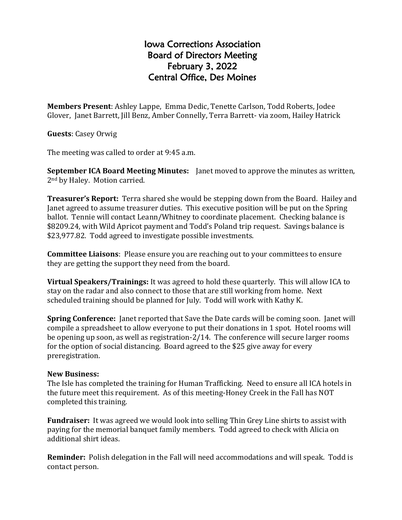## Iowa Corrections Association Board of Directors Meeting February 3, 2022 Central Office, Des Moines

**Members Present**: Ashley Lappe, Emma Dedic, Tenette Carlson, Todd Roberts, Jodee Glover, Janet Barrett, Jill Benz, Amber Connelly, Terra Barrett- via zoom, Hailey Hatrick

**Guests**: Casey Orwig

The meeting was called to order at 9:45 a.m.

**September ICA Board Meeting Minutes:** Janet moved to approve the minutes as written, 2nd by Haley. Motion carried.

**Treasurer's Report:** Terra shared she would be stepping down from the Board. Hailey and Janet agreed to assume treasurer duties. This executive position will be put on the Spring ballot. Tennie will contact Leann/Whitney to coordinate placement. Checking balance is \$8209.24, with Wild Apricot payment and Todd's Poland trip request. Savings balance is \$23,977.82. Todd agreed to investigate possible investments.

**Committee Liaisons**: Please ensure you are reaching out to your committees to ensure they are getting the support they need from the board.

**Virtual Speakers/Trainings:** It was agreed to hold these quarterly. This will allow ICA to stay on the radar and also connect to those that are still working from home. Next scheduled training should be planned for July. Todd will work with Kathy K.

**Spring Conference:** Janet reported that Save the Date cards will be coming soon. Janet will compile a spreadsheet to allow everyone to put their donations in 1 spot. Hotel rooms will be opening up soon, as well as registration-2/14. The conference will secure larger rooms for the option of social distancing. Board agreed to the \$25 give away for every preregistration.

## **New Business:**

The Isle has completed the training for Human Trafficking. Need to ensure all ICA hotels in the future meet this requirement. As of this meeting-Honey Creek in the Fall has NOT completed this training.

**Fundraiser:** It was agreed we would look into selling Thin Grey Line shirts to assist with paying for the memorial banquet family members. Todd agreed to check with Alicia on additional shirt ideas.

**Reminder:** Polish delegation in the Fall will need accommodations and will speak. Todd is contact person.